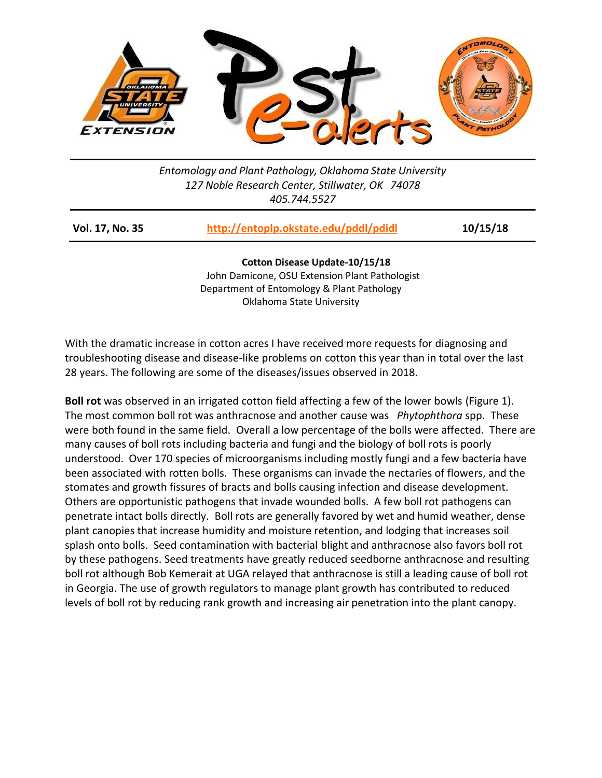

*Entomology and Plant Pathology, Oklahoma State University 127 Noble Research Center, Stillwater, OK 74078 405.744.5527*

| Vol. 17, No. 35 | http://entoplp.okstate.edu/pddl/pdidl | 10/15/18 |
|-----------------|---------------------------------------|----------|
|                 |                                       |          |

**Cotton Disease Update-10/15/18** John Damicone, OSU Extension Plant Pathologist Department of Entomology & Plant Pathology Oklahoma State University

With the dramatic increase in cotton acres I have received more requests for diagnosing and troubleshooting disease and disease-like problems on cotton this year than in total over the last 28 years. The following are some of the diseases/issues observed in 2018.

**Boll rot** was observed in an irrigated cotton field affecting a few of the lower bowls (Figure 1). The most common boll rot was anthracnose and another cause was *Phytophthora* spp. These were both found in the same field. Overall a low percentage of the bolls were affected. There are many causes of boll rots including bacteria and fungi and the biology of boll rots is poorly understood. Over 170 species of microorganisms including mostly fungi and a few bacteria have been associated with rotten bolls. These organisms can invade the nectaries of flowers, and the stomates and growth fissures of bracts and bolls causing infection and disease development. Others are opportunistic pathogens that invade wounded bolls. A few boll rot pathogens can penetrate intact bolls directly. Boll rots are generally favored by wet and humid weather, dense plant canopies that increase humidity and moisture retention, and lodging that increases soil splash onto bolls. Seed contamination with bacterial blight and anthracnose also favors boll rot by these pathogens. Seed treatments have greatly reduced seedborne anthracnose and resulting boll rot although Bob Kemerait at UGA relayed that anthracnose is still a leading cause of boll rot in Georgia. The use of growth regulators to manage plant growth has contributed to reduced levels of boll rot by reducing rank growth and increasing air penetration into the plant canopy.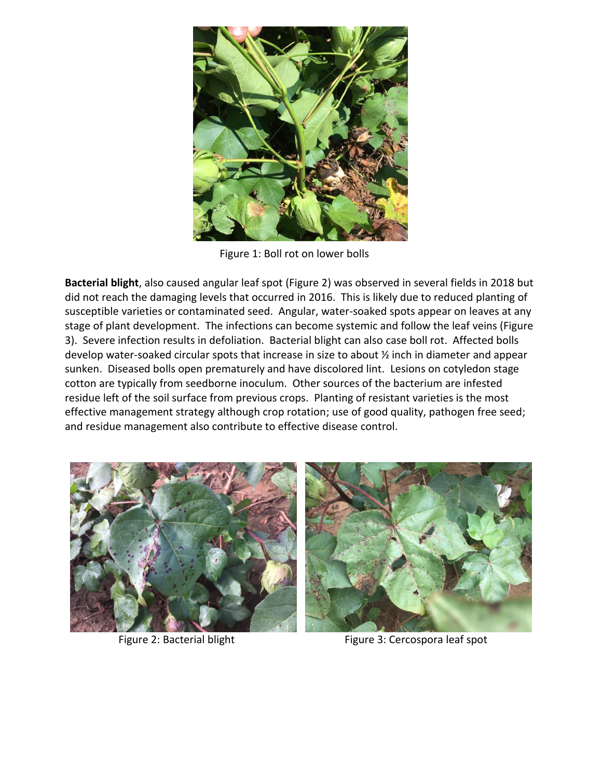

Figure 1: Boll rot on lower bolls

**Bacterial blight**, also caused angular leaf spot (Figure 2) was observed in several fields in 2018 but did not reach the damaging levels that occurred in 2016. This is likely due to reduced planting of susceptible varieties or contaminated seed. Angular, water-soaked spots appear on leaves at any stage of plant development. The infections can become systemic and follow the leaf veins (Figure 3). Severe infection results in defoliation. Bacterial blight can also case boll rot. Affected bolls develop water-soaked circular spots that increase in size to about ½ inch in diameter and appear sunken. Diseased bolls open prematurely and have discolored lint. Lesions on cotyledon stage cotton are typically from seedborne inoculum. Other sources of the bacterium are infested residue left of the soil surface from previous crops. Planting of resistant varieties is the most effective management strategy although crop rotation; use of good quality, pathogen free seed; and residue management also contribute to effective disease control.





Figure 2: Bacterial blight Figure 3: Cercospora leaf spot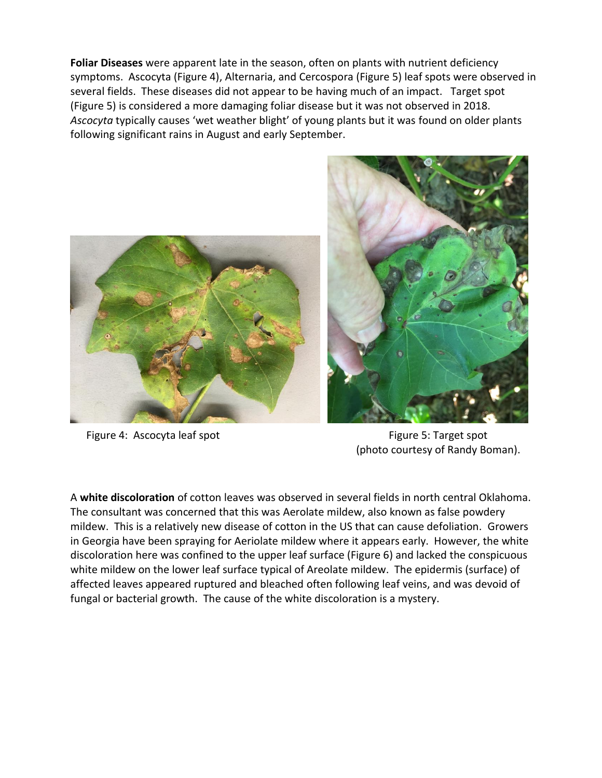**Foliar Diseases** were apparent late in the season, often on plants with nutrient deficiency symptoms. Ascocyta (Figure 4), Alternaria, and Cercospora (Figure 5) leaf spots were observed in several fields. These diseases did not appear to be having much of an impact. Target spot (Figure 5) is considered a more damaging foliar disease but it was not observed in 2018. *Ascocyta* typically causes 'wet weather blight' of young plants but it was found on older plants following significant rains in August and early September.





Figure 4: Ascocyta leaf spot **Figure 4: Ascocyta leaf spot** (photo courtesy of Randy Boman).

A **white discoloration** of cotton leaves was observed in several fields in north central Oklahoma. The consultant was concerned that this was Aerolate mildew, also known as false powdery mildew. This is a relatively new disease of cotton in the US that can cause defoliation. Growers in Georgia have been spraying for Aeriolate mildew where it appears early. However, the white discoloration here was confined to the upper leaf surface (Figure 6) and lacked the conspicuous white mildew on the lower leaf surface typical of Areolate mildew. The epidermis (surface) of affected leaves appeared ruptured and bleached often following leaf veins, and was devoid of fungal or bacterial growth. The cause of the white discoloration is a mystery.